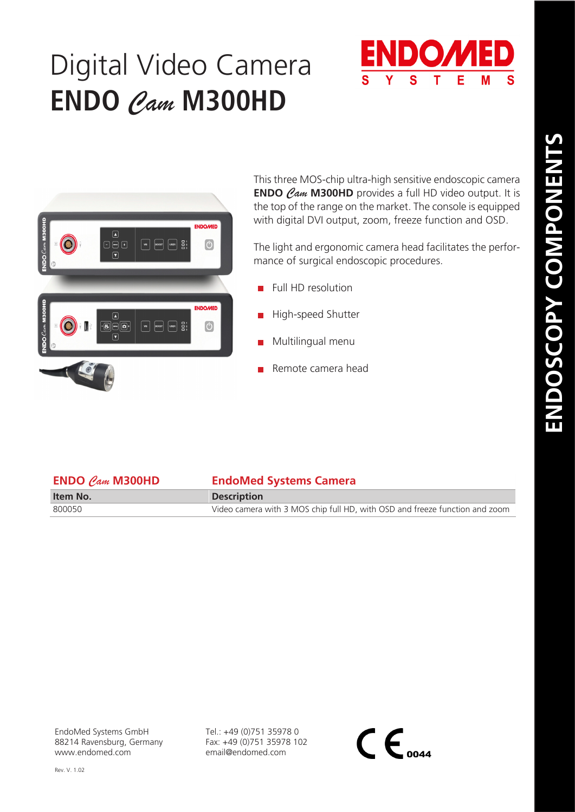## Digital Video Camera **ENDO** *Cam* **M300HD**





This three MOS-chip ultra-high sensitive endoscopic camera **ENDO** *Cam* **M300HD** provides a full HD video output. It is the top of the range on the market. The console is equipped with digital DVI output, zoom, freeze function and OSD.

The light and ergonomic camera head facilitates the performance of surgical endoscopic procedures.

- $\blacksquare$  Full HD resolution
- High-speed Shutter
- Multilingual menu
- Remote camera head

| <b>ENDO</b> $\mathcal{C}_{\mathcal{A}m}$ <b>M300HD</b> | <b>EndoMed Systems Camera</b>                                               |
|--------------------------------------------------------|-----------------------------------------------------------------------------|
| Item No.                                               | <b>Description</b>                                                          |
| 800050                                                 | Video camera with 3 MOS chip full HD, with OSD and freeze function and zoom |

Tel.: +49 (0)751 35978 0 Fax: +49 (0)751 35978 102 email@endomed.com

 $\mathsf{CE}_{\scriptscriptstyle o$ 044